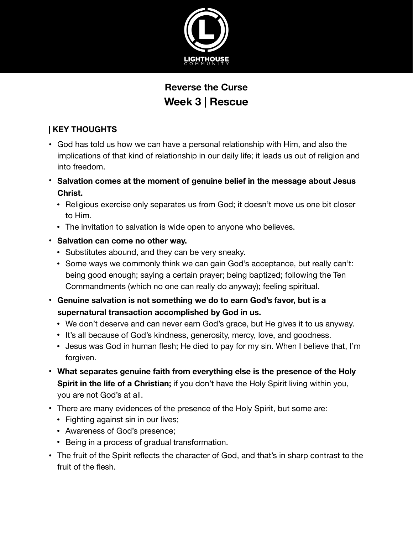

# **Reverse the Curse Week 3 | Rescue**

### **| KEY THOUGHTS**

- God has told us how we can have a personal relationship with Him, and also the implications of that kind of relationship in our daily life; it leads us out of religion and into freedom.
- **• Salvation comes at the moment of genuine belief in the message about Jesus Christ.** 
	- Religious exercise only separates us from God; it doesn't move us one bit closer to Him.
	- The invitation to salvation is wide open to anyone who believes.
- **• Salvation can come no other way.** 
	- Substitutes abound, and they can be very sneaky.
	- Some ways we commonly think we can gain God's acceptance, but really can't: being good enough; saying a certain prayer; being baptized; following the Ten Commandments (which no one can really do anyway); feeling spiritual.
- **• Genuine salvation is not something we do to earn God's favor, but is a supernatural transaction accomplished by God in us.** 
	- We don't deserve and can never earn God's grace, but He gives it to us anyway.
	- It's all because of God's kindness, generosity, mercy, love, and goodness.
	- Jesus was God in human flesh; He died to pay for my sin. When I believe that, I'm forgiven.
- **• What separates genuine faith from everything else is the presence of the Holy Spirit in the life of a Christian;** if you don't have the Holy Spirit living within you, you are not God's at all.
- **•** There are many evidences of the presence of the Holy Spirit, but some are:
	- Fighting against sin in our lives;
	- Awareness of God's presence;
	- Being in a process of gradual transformation.
- **•** The fruit of the Spirit reflects the character of God, and that's in sharp contrast to the fruit of the flesh.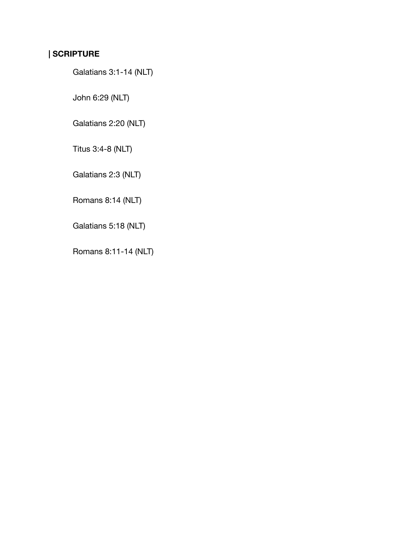## **| SCRIPTURE**

Galatians 3:1-14 (NLT)

John 6:29 (NLT)

Galatians 2:20 (NLT)

Titus 3:4-8 (NLT)

Galatians 2:3 (NLT)

Romans 8:14 (NLT)

Galatians 5:18 (NLT)

Romans 8:11-14 (NLT)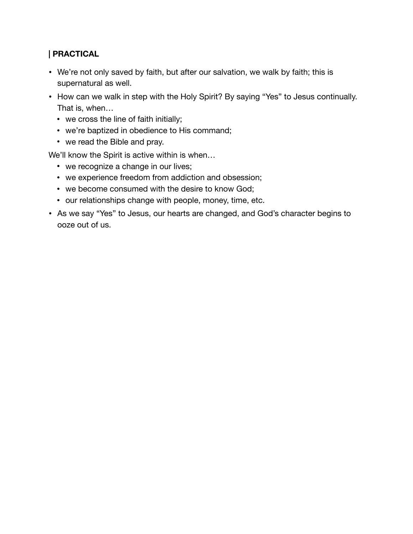#### **| PRACTICAL**

- We're not only saved by faith, but after our salvation, we walk by faith; this is supernatural as well.
- How can we walk in step with the Holy Spirit? By saying "Yes" to Jesus continually. That is, when…
	- we cross the line of faith initially;
	- we're baptized in obedience to His command;
	- we read the Bible and pray.

We'll know the Spirit is active within is when…

- we recognize a change in our lives;
- we experience freedom from addiction and obsession;
- we become consumed with the desire to know God;
- our relationships change with people, money, time, etc.
- As we say "Yes" to Jesus, our hearts are changed, and God's character begins to ooze out of us.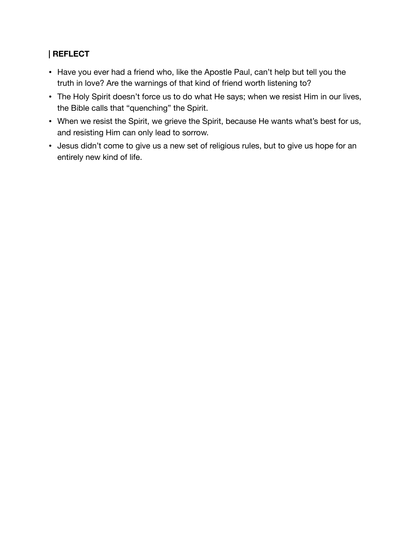#### **| REFLECT**

- Have you ever had a friend who, like the Apostle Paul, can't help but tell you the truth in love? Are the warnings of that kind of friend worth listening to?
- The Holy Spirit doesn't force us to do what He says; when we resist Him in our lives, the Bible calls that "quenching" the Spirit.
- When we resist the Spirit, we grieve the Spirit, because He wants what's best for us, and resisting Him can only lead to sorrow.
- Jesus didn't come to give us a new set of religious rules, but to give us hope for an entirely new kind of life.